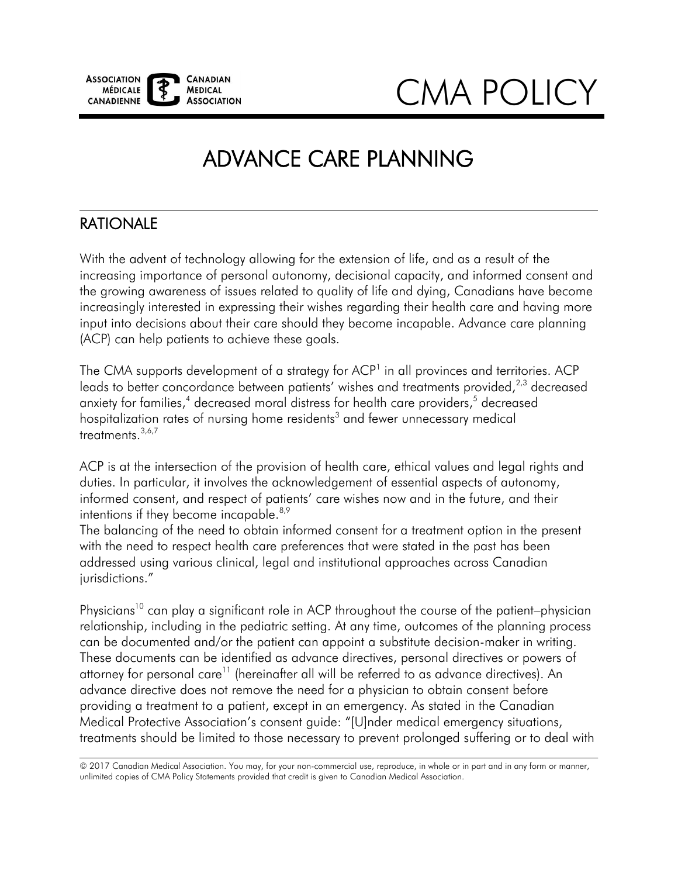

CMA POLICY

# ADVANCE CARE PLANNING

# RATIONALE

 With the advent of technology allowing for the extension of life, and as a result of the increasing importance of personal autonomy, decisional capacity, and informed consent and the growing awareness of issues related to quality of life and dying, Canadians have become increasingly interested in expressing their wishes regarding their health care and having more input into decisions about their care should they become incapable. Advance care planning (ACP) can help patients to achieve these goals.

The CMA supports development of a strategy for ACP<sup>1</sup> in all provinces and territories. ACP leads to better concordance between patients' wishes and treatments provided,<sup>[2](#page-6-1)[,3](#page-6-2)</sup> decreased anxiety for families,<sup>4</sup> decreased moral distress for health care providers,<sup>5</sup> decreased hospitalization rates of nursing home residents<sup>3</sup> and fewer unnecessary medical treatments.<sup>[3,](#page-6-2)[6,](#page-6-5)[7](#page-6-6)</sup>

intentions if they become incapable. $8,9$ ACP is at the intersection of the provision of health care, ethical values and legal rights and duties. In particular, it involves the acknowledgement of essential aspects of autonomy, informed consent, and respect of patients' care wishes now and in the future, and their

The balancing of the need to obtain informed consent for a treatment option in the present with the need to respect health care preferences that were stated in the past has been addressed using various clinical, legal and institutional approaches across Canadian jurisdictions."

Physicians<sup>10</sup> can play a significant role in ACP throughout the course of the patient–physician relationship, including in the pediatric setting. At any time, outcomes of the planning process can be documented and/or the patient can appoint a substitute decision-maker in writing. These documents can be identified as advance directives, personal directives or powers of attorney for personal care<sup>11</sup> (hereinafter all will be referred to as advance directives). An advance directive does not remove the need for a physician to obtain consent before providing a treatment to a patient, except in an emergency. As stated in the Canadian Medical Protective Association's consent guide: "[U]nder medical emergency situations, treatments should be limited to those necessary to prevent prolonged suffering or to deal with

© 2017 Canadian Medical Association. You may, for your non-commercial use, reproduce, in whole or in part and in any form or manner, unlimited copies of CMA Policy Statements provided that credit is given to Canadian Medical Association.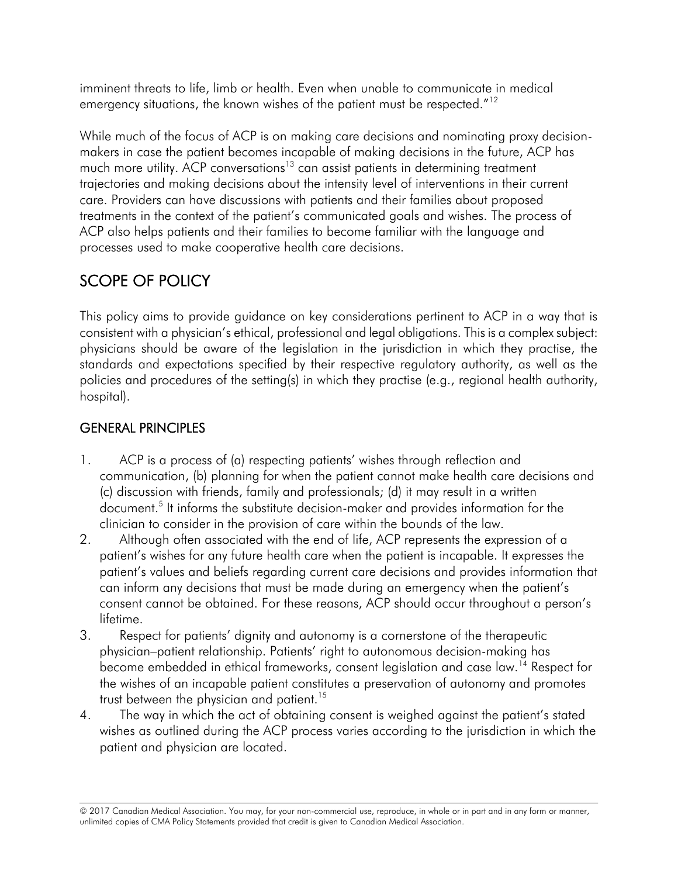imminent threats to life, limb or health. Even when unable to communicate in medical emergency situations, the known wishes of the patient must be respected."<sup>12</sup>

While much of the focus of ACP is on making care decisions and nominating proxy decisionmakers in case the patient becomes incapable of making decisions in the future, ACP has much more utility. ACP conversations<sup>13</sup> can assist patients in determining treatment trajectories and making decisions about the intensity level of interventions in their current care. Providers can have discussions with patients and their families about proposed treatments in the context of the patient's communicated goals and wishes. The process of ACP also helps patients and their families to become familiar with the language and processes used to make cooperative health care decisions.

# SCOPE OF POLICY

 consistent with a physician's ethical, professional and legal obligations. This is a complexsubject: standards and expectations specified by their respective regulatory authority, as well as the policies and procedures of the setting(s) in which they practise (e.g., regional health authority, This policy aims to provide guidance on key considerations pertinent to ACP in a way that is physicians should be aware of the legislation in the jurisdiction in which they practise, the hospital).

# GENERAL PRINCIPLES

- clinician to consider in the provision of care within the bounds of the law. 1. ACP is a process of (a) respecting patients' wishes through reflection and communication, (b) planning for when the patient cannot make health care decisions and (c) discussion with friends, family and professionals; (d) it may result in a written document.<sup>5</sup> It informs the substitute decision-maker and provides information for the
- 2. Although often associated with the end of life, ACP represents the expression of a patient's wishes for any future health care when the patient is incapable. It expresses the patient's values and beliefs regarding current care decisions and provides information that can inform any decisions that must be made during an emergency when the patient's consent cannot be obtained. For these reasons, ACP should occur throughout a person's lifetime.
- 3. Respect for patients' dignity and autonomy is a cornerstone of the therapeutic physician–patient relationship. Patients' right to autonomous decision-making has become embedded in ethical frameworks, consent legislation and case law.<sup>14</sup> Respect for the wishes of an incapable patient constitutes a preservation of autonomy and promotes trust between the physician and patient.<sup>15</sup>
- patient and physician are located. 4. The way in which the act of obtaining consent is weighed against the patient's stated wishes as outlined during the ACP process varies according to the jurisdiction in which the

<sup>© 2017</sup> Canadian Medical Association. You may, for your non-commercial use, reproduce, in whole or in part and in any form or manner, unlimited copies of CMA Policy Statements provided that credit is given to Canadian Medical Association.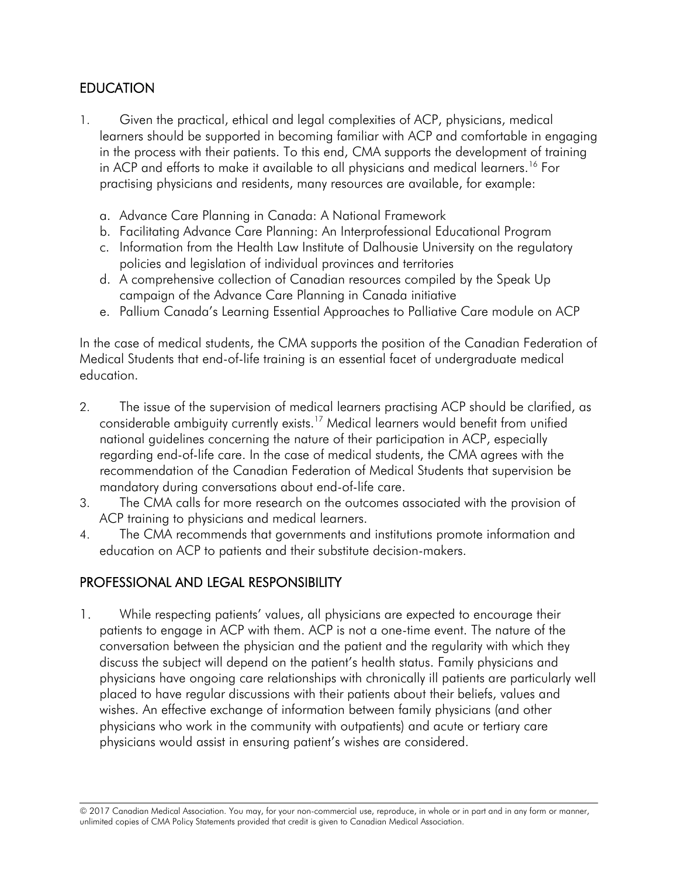#### **EDUCATION**

- in ACP and efforts to make it available to all physicians and medical learners.<sup>16</sup> For 1. Given the practical, ethical and legal complexities of ACP, physicians, medical learners should be supported in becoming familiar with ACP and comfortable in engaging in the process with their patients. To this end, CMA supports the development of training practising physicians and residents, many resources are available, for example:
	- a. Advance Care Planning in Canada: A National Framework
	- b. Facilitating Advance Care Planning: An Interprofessional Educational Program
	- c. Information from the Health Law Institute of Dalhousie University on the regulatory policies and legislation of individual provinces and territories
	- d. A comprehensive collection of Canadian resources compiled by the Speak Up campaign of the Advance Care Planning in Canada initiative
	- e. Pallium Canada's Learning Essential Approaches to Palliative Care module on ACP

In the case of medical students, the CMA supports the position of the Canadian Federation of Medical Students that end-of-life training is an essential facet of undergraduate medical education.

- 2. The issue of the supervision of medical learners practising ACP should be clarified, as considerable ambiguity currently exists.<sup>17</sup> Medical learners would benefit from unified national guidelines concerning the nature of their participation in ACP, especially regarding end-of-life care. In the case of medical students, the CMA agrees with the recommendation of the Canadian Federation of Medical Students that supervision be mandatory during conversations about end-of-life care.
- 3. The CMA calls for more research on the outcomes associated with the provision of ACP training to physicians and medical learners.
- education on ACP to patients and their substitute decision-makers.<br>PROFESSIONAL AND LEGAL RESPONSIBILITY 4. The CMA recommends that governments and institutions promote information and

# PROFESSIONAL AND LEGAL RESPONSIBILITY

1. While respecting patients' values, all physicians are expected to encourage their patients to engage in ACP with them. ACP is not a one-time event. The nature of the conversation between the physician and the patient and the regularity with which they discuss the subject will depend on the patient's health status. Family physicians and physicians have ongoing care relationships with chronically ill patients are particularly well placed to have regular discussions with their patients about their beliefs, values and wishes. An effective exchange of information between family physicians (and other physicians who work in the community with outpatients) and acute or tertiary care physicians would assist in ensuring patient's wishes are considered.

<sup>© 2017</sup> Canadian Medical Association. You may, for your non-commercial use, reproduce, in whole or in part and in any form or manner, unlimited copies of CMA Policy Statements provided that credit is given to Canadian Medical Association.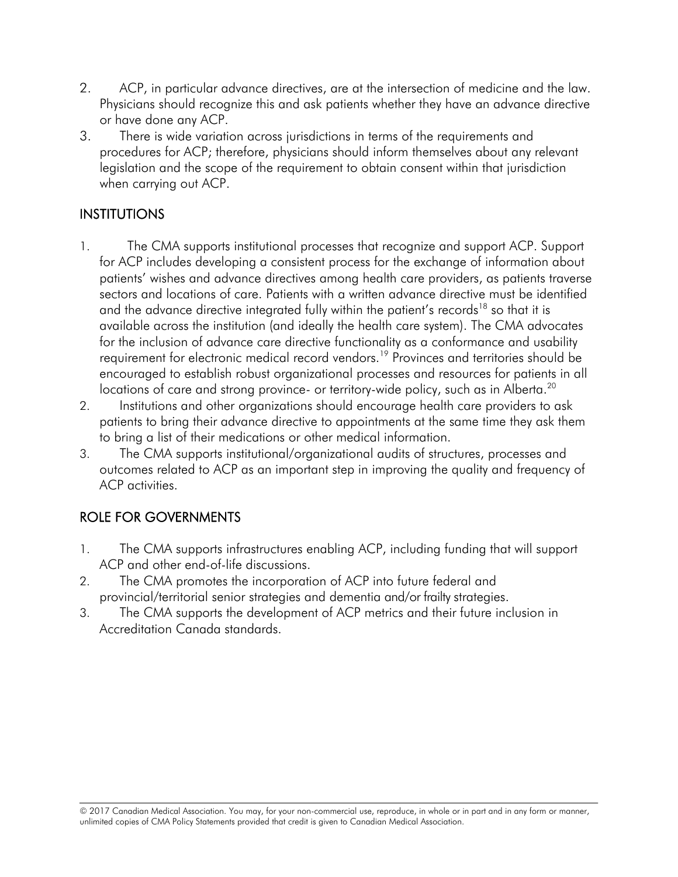- 2. ACP, in particular advance directives, are at the intersection of medicine and the law. Physicians should recognize this and ask patients whether they have an advance directive or have done any ACP.
- 3. There is wide variation across jurisdictions in terms of the requirements and procedures for ACP; therefore, physicians should inform themselves about any relevant legislation and the scope of the requirement to obtain consent within that jurisdiction when carrying out ACP.

#### INSTITUTIONS

- 1. The CMA supports institutional processes that recognize and support ACP. Support for ACP includes developing a consistent process for the exchange of information about patients' wishes and advance directives among health care providers, as patients traverse sectors and locations of care. Patients with a written advance directive must be identified and the advance directive integrated fully within the patient's records<sup>[18](#page-6-16)</sup> so that it is available across the institution (and ideally the health care system). The CMA advocates for the inclusion of advance care directive functionality as a conformance and usability requirement for electronic medical record vendors.<sup>19</sup> Provinces and territories should be encouraged to establish robust organizational processes and resources for patients in all locations of care and strong province- or territory-wide policy, such as in Alberta.<sup>20</sup>
- 2. Institutions and other organizations should encourage health care providers to ask patients to bring their advance directive to appointments at the same time they ask them to bring a list of their medications or other medical information.
- 3. The CMA supports institutional/organizational audits of structures, processes and outcomes related to ACP as an important step in improving the quality and frequency of ACP activities.

# ROLE FOR GOVERNMENTS

- 1. The CMA supports infrastructures enabling ACP, including funding that will support ACP and other end-of-life discussions.
- provincial/territorial senior strategies and dementia and/or frailty strategies. 2. The CMA promotes the incorporation of ACP into future federal and
- Accreditation Canada standards. 3. The CMA supports the development of ACP metrics and their future inclusion in Accreditation Canada standards.<br>
© 2017<br>
© 2017 Canadian Medical Association. You may, for your non-commercial use, reproduce, in whole or in part and in any form or manner,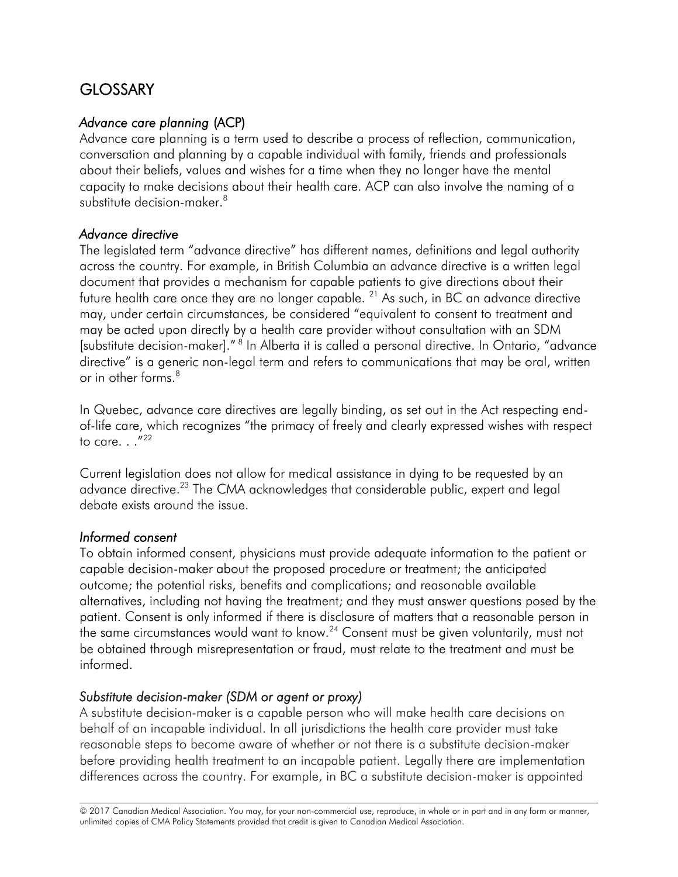# **GLOSSARY**

#### *Advance care planning* (ACP)

Advance care planning is a term used to describe a process of reflection, communication, conversation and planning by a capable individual with family, friends and professionals about their beliefs, values and wishes for a time when they no longer have the mental capacity to make decisions about their health care. ACP can also involve the naming of a substitute decision-maker.<sup>8</sup>

#### *Advance directive*

The legislated term "advance directive" has different names, definitions and legal authority across the country. For example, in British Columbia an advance directive is a written legal document that provides a mechanism for capable patients to give directions about their future health care once they are no longer capable. <sup>21</sup> As such, in BC an advance directive may, under certain circumstances, be considered "equivalent to consent to treatment and may be acted upon directly by a health care provider without consultation with an SDM [substitute decision-maker]." [8](#page-6-7) In Alberta it is called a personal directive. In Ontario, "advance directive" is a generic non-legal term and refers to communications that may be oral, written or in other forms.<sup>8</sup>

In Quebec, advance care directives are legally binding, as set out in the Act respecting endof-life care, which recognizes "the primacy of freely and clearly expressed wishes with respect to care.  $.$  ." $^{22}$  $^{22}$  $^{22}$ 

Current legislation does not allow for medical assistance in dying to be requested by an advance directive.<sup>23</sup> The CMA acknowledges that considerable public, expert and legal debate exists around the issue.

#### *Informed consent*

To obtain informed consent, physicians must provide adequate information to the patient or capable decision-maker about the proposed procedure or treatment; the anticipated outcome; the potential risks, benefits and complications; and reasonable available alternatives, including not having the treatment; and they must answer questions posed by the patient. Consent is only informed if there is disclosure of matters that a reasonable person in the same circumstances would want to know.<sup>24</sup> Consent must be given voluntarily, must not be obtained through misrepresentation or fraud, must relate to the treatment and must be informed.

#### *Substitute decision-maker (SDM or agent or proxy)*

A substitute decision-maker is a capable person who will make health care decisions on behalf of an incapable individual. In all jurisdictions the health care provider must take reasonable steps to become aware of whether or not there is a substitute decision-maker before providing health treatment to an incapable patient. Legally there are implementation differences across the country. For example, in BC a substitute decision-maker is appointed

© 2017 Canadian Medical Association. You may, for your non-commercial use, reproduce, in whole or in part and in any form or manner, unlimited copies of CMA Policy Statements provided that credit is given to Canadian Medical Association.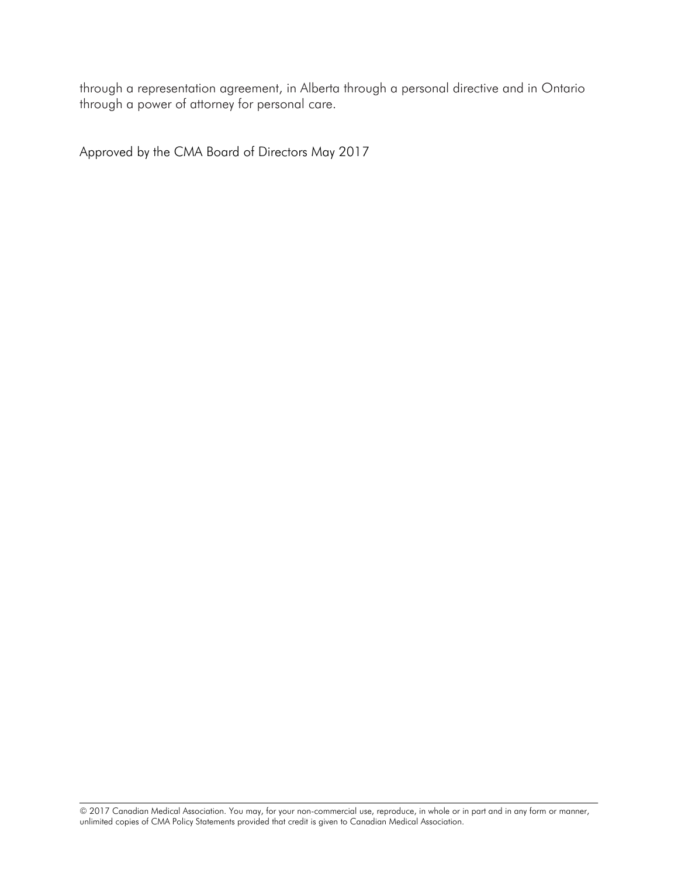through a power of attorney for personal care. through a representation agreement, in Alberta through a personal directive and in Ontario

Approved by the CMA Board of Directors May 2017

© 2017 Canadian Medical Association. You may, for your non-commercial use, reproduce, in whole or in part and in any form or manner, unlimited copies of CMA Policy Statements provided that credit is given to Canadian Medical Association.